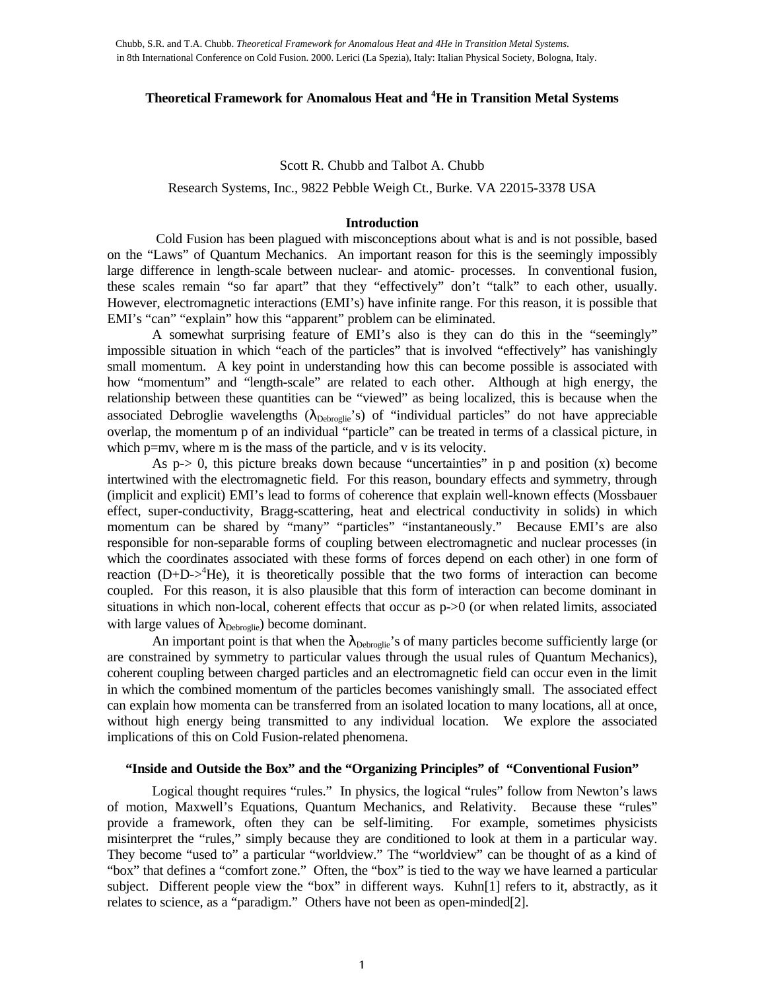# **Theoretical Framework for Anomalous Heat and <sup>4</sup>He in Transition Metal Systems**

# Scott R. Chubb and Talbot A. Chubb

Research Systems, Inc., 9822 Pebble Weigh Ct., Burke. VA 22015-3378 USA

## **Introduction**

 Cold Fusion has been plagued with misconceptions about what is and is not possible, based on the "Laws" of Quantum Mechanics. An important reason for this is the seemingly impossibly large difference in length-scale between nuclear- and atomic- processes. In conventional fusion, these scales remain "so far apart" that they "effectively" don't "talk" to each other, usually. However, electromagnetic interactions (EMI's) have infinite range. For this reason, it is possible that EMI's "can" "explain" how this "apparent" problem can be eliminated.

A somewhat surprising feature of EMI's also is they can do this in the "seemingly" impossible situation in which "each of the particles" that is involved "effectively" has vanishingly small momentum. A key point in understanding how this can become possible is associated with how "momentum" and "length-scale" are related to each other. Although at high energy, the relationship between these quantities can be "viewed" as being localized, this is because when the associated Debroglie wavelengths  $(\lambda_{\text{Debroglie}})$  of "individual particles" do not have appreciable overlap, the momentum p of an individual "particle" can be treated in terms of a classical picture, in which p=mv, where m is the mass of the particle, and v is its velocity.

As  $p > 0$ , this picture breaks down because "uncertainties" in p and position (x) become intertwined with the electromagnetic field. For this reason, boundary effects and symmetry, through (implicit and explicit) EMI's lead to forms of coherence that explain well-known effects (Mossbauer effect, super-conductivity, Bragg-scattering, heat and electrical conductivity in solids) in which momentum can be shared by "many" "particles" "instantaneously." Because EMI's are also responsible for non-separable forms of coupling between electromagnetic and nuclear processes (in which the coordinates associated with these forms of forces depend on each other) in one form of reaction  $(D+D-)$ <sup>4</sup>He), it is theoretically possible that the two forms of interaction can become coupled. For this reason, it is also plausible that this form of interaction can become dominant in situations in which non-local, coherent effects that occur as  $p > 0$  (or when related limits, associated with large values of  $\lambda_{\text{Debroglie}}$ ) become dominant.

An important point is that when the  $\lambda_{\text{Debroglie}}$ 's of many particles become sufficiently large (or are constrained by symmetry to particular values through the usual rules of Quantum Mechanics), coherent coupling between charged particles and an electromagnetic field can occur even in the limit in which the combined momentum of the particles becomes vanishingly small. The associated effect can explain how momenta can be transferred from an isolated location to many locations, all at once, without high energy being transmitted to any individual location. We explore the associated implications of this on Cold Fusion-related phenomena.

# **"Inside and Outside the Box" and the "Organizing Principles" of "Conventional Fusion"**

Logical thought requires "rules." In physics, the logical "rules" follow from Newton's laws of motion, Maxwell's Equations, Quantum Mechanics, and Relativity. Because these "rules" provide a framework, often they can be self-limiting. For example, sometimes physicists misinterpret the "rules," simply because they are conditioned to look at them in a particular way. They become "used to" a particular "worldview." The "worldview" can be thought of as a kind of "box" that defines a "comfort zone." Often, the "box" is tied to the way we have learned a particular subject. Different people view the "box" in different ways. Kuhn[1] refers to it, abstractly, as it relates to science, as a "paradigm." Others have not been as open-minded[2].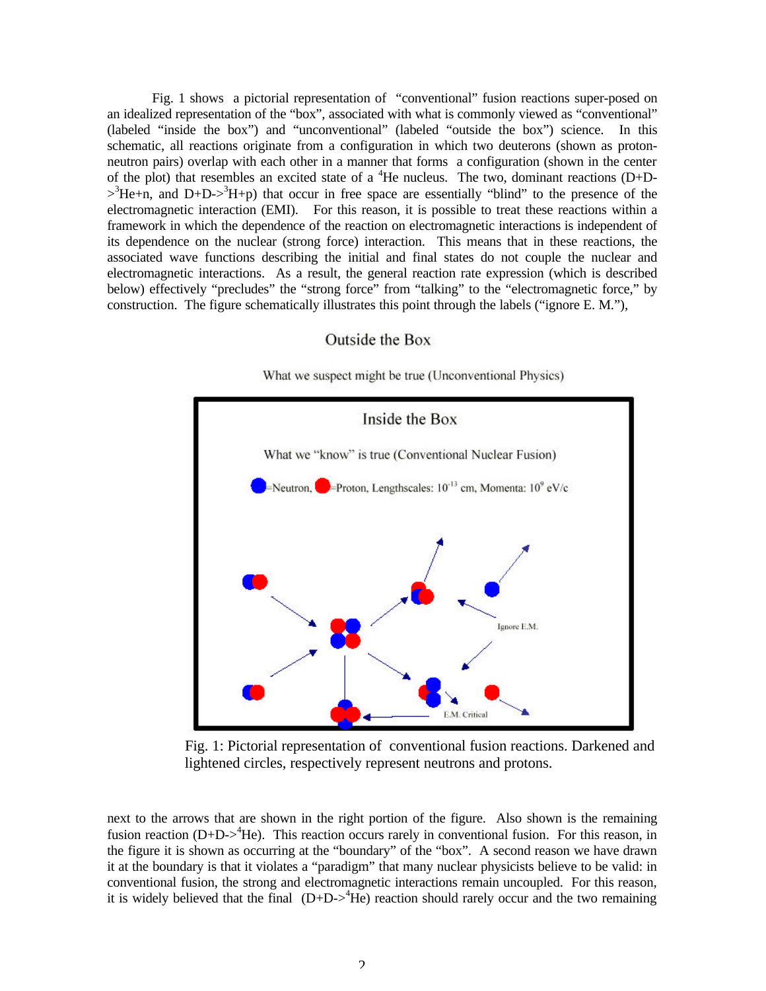Fig. 1 shows a pictorial representation of "conventional" fusion reactions super-posed on an idealized representation of the "box", associated with what is commonly viewed as "conventional" (labeled "inside the box") and "unconventional" (labeled "outside the box") science. In this schematic, all reactions originate from a configuration in which two deuterons (shown as protonneutron pairs) overlap with each other in a manner that forms a configuration (shown in the center of the plot) that resembles an excited state of a  ${}^{4}$ He nucleus. The two, dominant reactions (D+D- $>3$ He+n, and D+D- $>3$ H+p) that occur in free space are essentially "blind" to the presence of the electromagnetic interaction (EMI). For this reason, it is possible to treat these reactions within a framework in which the dependence of the reaction on electromagnetic interactions is independent of its dependence on the nuclear (strong force) interaction. This means that in these reactions, the associated wave functions describing the initial and final states do not couple the nuclear and electromagnetic interactions. As a result, the general reaction rate expression (which is described below) effectively "precludes" the "strong force" from "talking" to the "electromagnetic force," by construction. The figure schematically illustrates this point through the labels ("ignore E. M."),

# Inside the Box What we "know" is true (Conventional Nuclear Fusion) =Neutron,  $\bullet$ =Proton, Lengthscales:  $10^{-13}$  cm, Momenta:  $10^{9}$  eV/c Ignore E.M. E.M. Critical

# Outside the Box

What we suspect might be true (Unconventional Physics)

Fig. 1: Pictorial representation of conventional fusion reactions. Darkened and lightened circles, respectively represent neutrons and protons.

next to the arrows that are shown in the right portion of the figure. Also shown is the remaining fusion reaction (D+D-><sup>4</sup>He). This reaction occurs rarely in conventional fusion. For this reason, in the figure it is shown as occurring at the "boundary" of the "box". A second reason we have drawn it at the boundary is that it violates a "paradigm" that many nuclear physicists believe to be valid: in conventional fusion, the strong and electromagnetic interactions remain uncoupled. For this reason, it is widely believed that the final  $(D+D-)$ <sup>4</sup>He) reaction should rarely occur and the two remaining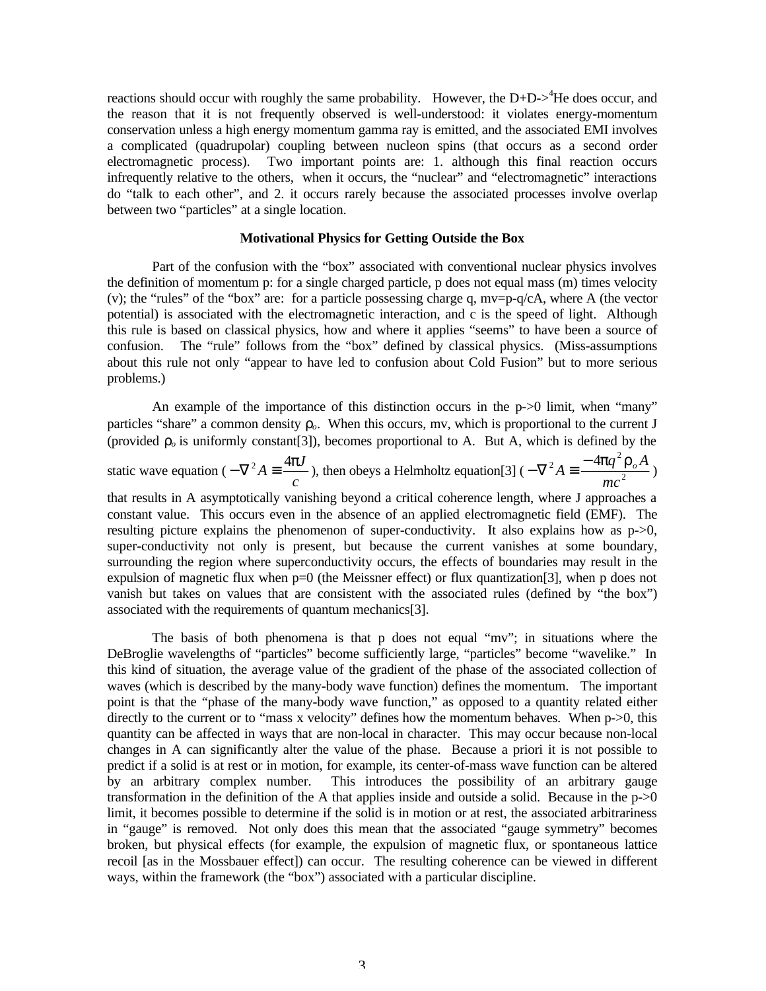reactions should occur with roughly the same probability. However, the  $D+D-$ <sup>4</sup>He does occur, and the reason that it is not frequently observed is well-understood: it violates energy-momentum conservation unless a high energy momentum gamma ray is emitted, and the associated EMI involves a complicated (quadrupolar) coupling between nucleon spins (that occurs as a second order electromagnetic process). Two important points are: 1. although this final reaction occurs infrequently relative to the others, when it occurs, the "nuclear" and "electromagnetic" interactions do "talk to each other", and 2. it occurs rarely because the associated processes involve overlap between two "particles" at a single location.

# **Motivational Physics for Getting Outside the Box**

Part of the confusion with the "box" associated with conventional nuclear physics involves the definition of momentum p: for a single charged particle, p does not equal mass (m) times velocity (v); the "rules" of the "box" are: for a particle possessing charge q,  $mv=p-q/cA$ , where A (the vector potential) is associated with the electromagnetic interaction, and c is the speed of light. Although this rule is based on classical physics, how and where it applies "seems" to have been a source of confusion. The "rule" follows from the "box" defined by classical physics. (Miss-assumptions about this rule not only "appear to have led to confusion about Cold Fusion" but to more serious problems.)

An example of the importance of this distinction occurs in the p->0 limit, when "many" particles "share" a common density  $r<sub>o</sub>$ . When this occurs, mv, which is proportional to the current J (provided  $r<sub>o</sub>$  is uniformly constant[3]), becomes proportional to A. But A, which is defined by the static wave equation ( *c*  $-\nabla^2 A \equiv \frac{4\mathbf{p}J}{a}$ ), then obeys a Helmholtz equation[3] ( $-\nabla^2 A \equiv \frac{-4\mathbf{p}q^2I}{mc^2}$  $_{2A} = -4pq^2$ *mc*  $-\nabla^2 A \equiv \frac{-4pq^2r_oA}{r_o}$ that results in A asymptotically vanishing beyond a critical coherence length, where J approaches a constant value. This occurs even in the absence of an applied electromagnetic field (EMF). The resulting picture explains the phenomenon of super-conductivity. It also explains how as p->0, super-conductivity not only is present, but because the current vanishes at some boundary, surrounding the region where superconductivity occurs, the effects of boundaries may result in the expulsion of magnetic flux when  $p=0$  (the Meissner effect) or flux quantization [3], when p does not vanish but takes on values that are consistent with the associated rules (defined by "the box") associated with the requirements of quantum mechanics[3].

The basis of both phenomena is that p does not equal "mv"; in situations where the DeBroglie wavelengths of "particles" become sufficiently large, "particles" become "wavelike." In this kind of situation, the average value of the gradient of the phase of the associated collection of waves (which is described by the many-body wave function) defines the momentum. The important point is that the "phase of the many-body wave function," as opposed to a quantity related either directly to the current or to "mass x velocity" defines how the momentum behaves. When p->0, this quantity can be affected in ways that are non-local in character. This may occur because non-local changes in A can significantly alter the value of the phase. Because a priori it is not possible to predict if a solid is at rest or in motion, for example, its center-of-mass wave function can be altered by an arbitrary complex number. This introduces the possibility of an arbitrary gauge transformation in the definition of the A that applies inside and outside a solid. Because in the  $p > 0$ limit, it becomes possible to determine if the solid is in motion or at rest, the associated arbitrariness in "gauge" is removed. Not only does this mean that the associated "gauge symmetry" becomes broken, but physical effects (for example, the expulsion of magnetic flux, or spontaneous lattice recoil [as in the Mossbauer effect]) can occur. The resulting coherence can be viewed in different ways, within the framework (the "box") associated with a particular discipline.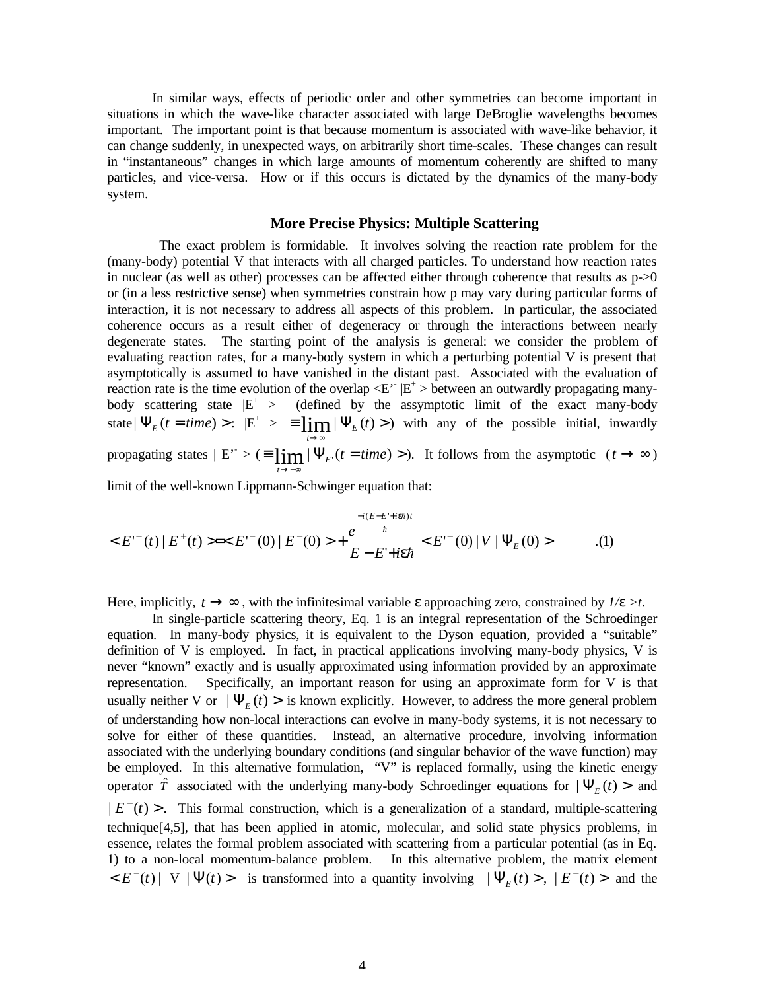In similar ways, effects of periodic order and other symmetries can become important in situations in which the wave-like character associated with large DeBroglie wavelengths becomes important. The important point is that because momentum is associated with wave-like behavior, it can change suddenly, in unexpected ways, on arbitrarily short time-scales. These changes can result in "instantaneous" changes in which large amounts of momentum coherently are shifted to many particles, and vice-versa. How or if this occurs is dictated by the dynamics of the many-body system.

# **More Precise Physics: Multiple Scattering**

 The exact problem is formidable. It involves solving the reaction rate problem for the (many-body) potential V that interacts with all charged particles. To understand how reaction rates in nuclear (as well as other) processes can be affected either through coherence that results as  $p > 0$ or (in a less restrictive sense) when symmetries constrain how p may vary during particular forms of interaction, it is not necessary to address all aspects of this problem. In particular, the associated coherence occurs as a result either of degeneracy or through the interactions between nearly degenerate states. The starting point of the analysis is general: we consider the problem of evaluating reaction rates, for a many-body system in which a perturbing potential V is present that asymptotically is assumed to have vanished in the distant past. Associated with the evaluation of reaction rate is the time evolution of the overlap  $\langle E^*|E^*\rangle$  between an outwardly propagating manybody scattering state  $|E^+| >$  (defined by the assymptotic limit of the exact many-body state  $|\Psi_{E}(t = time) >: |E^{+}| > \equiv \lim_{\varepsilon \to 0} |\Psi_{E}(t) >$ →∞  $\lim_{t\to\infty} |\Psi_E(t)|$ ) with any of the possible initial, inwardly propagating states  $| E^* \rangle = \frac{1}{2} \lim_{k \to \infty} |\Psi_{E^*}(t = time) \rangle$ →−∞  $\lim_{t \to \infty} |\Psi_{E}(t = time) > \$ . It follows from the asymptotic  $(t \to \infty)$ *t*

limit of the well-known Lippmann-Schwinger equation that:

$$
\langle E^{(+)}(t) | E^{+}(t) \rangle = \langle E^{(+)}(0) | E^{(+)}(0) \rangle + \frac{e^{\frac{-i(E - E^{(+)}(t\theta))t}{\hbar}}}{E - E^{(+)}(t\theta)} \langle E^{(+)}(0) | V | \Psi_{E}(0) \rangle \tag{1}
$$

Here, implicitly,  $t \rightarrow \infty$ , with the infinitesimal variable  $\varepsilon$  approaching zero, constrained by  $1/e > t$ .

In single-particle scattering theory, Eq. 1 is an integral representation of the Schroedinger equation. In many-body physics, it is equivalent to the Dyson equation, provided a "suitable" definition of V is employed. In fact, in practical applications involving many-body physics, V is never "known" exactly and is usually approximated using information provided by an approximate representation. Specifically, an important reason for using an approximate form for V is that usually neither V or  $|\Psi_{E}(t)\rangle$  is known explicitly. However, to address the more general problem of understanding how non-local interactions can evolve in many-body systems, it is not necessary to solve for either of these quantities. Instead, an alternative procedure, involving information associated with the underlying boundary conditions (and singular behavior of the wave function) may be employed. In this alternative formulation, "V" is replaced formally, using the kinetic energy operator  $\hat{T}$  associated with the underlying many-body Schroedinger equations for  $|\Psi_{E}(t)\rangle$  and  $|E^{-}(t)$  >. This formal construction, which is a generalization of a standard, multiple-scattering technique[4,5], that has been applied in atomic, molecular, and solid state physics problems, in essence, relates the formal problem associated with scattering from a particular potential (as in Eq. 1) to a non-local momentum-balance problem. In this alternative problem, the matrix element  $\leq E^{-}(t) | V | \Psi(t)$  is transformed into a quantity involving  $|\Psi_{E}(t) > | E^{-}(t) >$  and the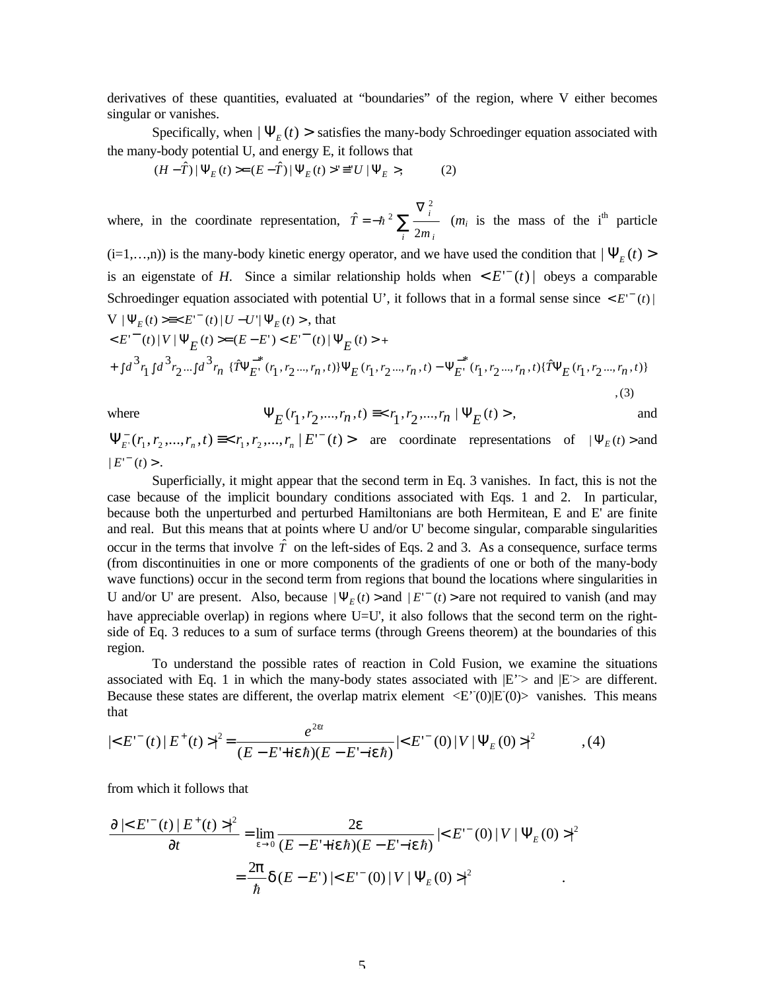derivatives of these quantities, evaluated at "boundaries" of the region, where V either becomes singular or vanishes.

Specifically, when  $|\Psi_{E}(t)\rangle$  satisfies the many-body Schroedinger equation associated with the many-body potential U, and energy E, it follows that

$$
(H - \hat{T}) \,|\, \Psi_E(t) > = (E - \hat{T}) \,|\, \Psi_E(t) > \Psi = U \,|\, \Psi_E >,\tag{2}
$$

where, in the coordinate representation,  $\hat{T} = -\hbar^2 \sum_{\alpha}$ ∇ = − *i i i m T* 2 ˆ 2  $\hbar^2 \sum_{i}^{i}$  (*m<sub>i</sub>* is the mass of the i<sup>th</sup> particle

 $(i=1,...,n)$ ) is the many-body kinetic energy operator, and we have used the condition that  $|\Psi_E(t)\rangle$ is an eigenstate of *H*. Since a similar relationship holds when  $\langle E^-(t) |$  obeys a comparable Schroedinger equation associated with potential U', it follows that in a formal sense since  $\langle E^-(t) |$  $V | \Psi_E(t) \ge \ll E^{-t}$  (*t*)  $| U - U' | \Psi_E(t) >$ , that

$$
\langle E^{(-)}(t) | V | \Psi_{E}(t) \rangle = (E - E^{+}) \langle E^{(-)}(t) | \Psi_{E}(t) \rangle +
$$
  
+ 
$$
\int d^{3}r_{1} \int d^{3}r_{2} ... \int d^{3}r_{n} \{\hat{T} \Psi_{E^{+}}^{-*}(r_{1}, r_{2} ..., r_{n}, t) \} \Psi_{E}(r_{1}, r_{2} ..., r_{n}, t) - \Psi_{E^{+}}^{-*}(r_{1}, r_{2} ..., r_{n}, t) \{\hat{T} \Psi_{E}(r_{1}, r_{2} ..., r_{n}, t) \}
$$
  
, (3)

where 
$$
\Psi_E(r_1, r_2, ..., r_n, t) \equiv \langle r_1, r_2, ..., r_n | \Psi_E(t) \rangle
$$
, and

 $\Psi_{E}^{-}(r_1, r_2, \ldots, r_n, t) \equiv < r_1, r_2, \ldots, r_n \mid E^{-}(t) >$  are coordinate representations of  $|\Psi_{E}(t) >$  and  $|E^{-}(t)>$ .

Superficially, it might appear that the second term in Eq. 3 vanishes. In fact, this is not the case because of the implicit boundary conditions associated with Eqs. 1 and 2. In particular, because both the unperturbed and perturbed Hamiltonians are both Hermitean, E and E' are finite and real. But this means that at points where U and/or U' become singular, comparable singularities occur in the terms that involve  $\hat{T}$  on the left-sides of Eqs. 2 and 3. As a consequence, surface terms (from discontinuities in one or more components of the gradients of one or both of the many-body wave functions) occur in the second term from regions that bound the locations where singularities in U and/or U' are present. Also, because  $|\Psi_E(t)\rangle$  and  $|E|^{-}(t)\rangle$  are not required to vanish (and may have appreciable overlap) in regions where U=U', it also follows that the second term on the rightside of Eq. 3 reduces to a sum of surface terms (through Greens theorem) at the boundaries of this region.

To understand the possible rates of reaction in Cold Fusion, we examine the situations associated with Eq. 1 in which the many-body states associated with  $|E'|\geq$  and  $|E|\geq$  are different. Because these states are different, the overlap matrix element  $\langle E'(0)|E(0)\rangle$  vanishes. This means that

$$
|\langle E^{(-)}(t) | E^{+}(t) \rangle|^{2} = \frac{e^{2\epsilon t}}{(E - E^{+} + i\epsilon\hbar)(E - E^{+} - i\epsilon\hbar)} |\langle E^{(-)}(0) | V | \Psi_{E}(0) \rangle|^{2}, \quad (4)
$$

from which it follows that

$$
\frac{\partial |\langle E^{(-)}(t) | E^{+}(t) \rangle|^2}{\partial t} = \lim_{\epsilon \to 0} \frac{2\mathbf{e}}{(E - E^{+} + i\mathbf{e}\hbar)(E - E^{+} - i\mathbf{e}\hbar)} |\langle E^{(-)}(0) | V | \Psi_{E}(0) \rangle|^2
$$

$$
= \frac{2\mathbf{p}}{\hbar} \mathbf{d}(E - E^{+}) |\langle E^{(-)}(0) | V | \Psi_{E}(0) \rangle|^2
$$